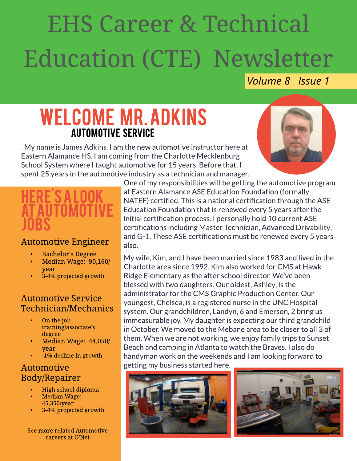# EHSCareer & Technical Education (CTE) Newsletter

#### **Volume 8 Issue 1**

## WELCOME MR. ADKINS **AUTOMOTIVE SERVICE**

. My name is James Adkins. I am the new automotive instructor here at Eastern Alamance HS.I am coming from the Charlotte Mecklenburg School System where I taught automotive for 15 years. Before that, I spent 25 years in the automotive industry as a technician and manager.



### <u>HERE SALOOK</u> ATAUTOMOTIVE JOBS

#### Automotive Engineer

- Bachelor's Degree
- Median Wage: 90,160/ year
- 3-4% projected growth

#### Automotive Service Technician/Mechanics

- On the job training/associate's degree
- Median Wage: 44,050/ year
- -1% decline in growth

#### Automotive Body/Repairer

- High school diploma
- Median Wage: 45,350/year
- 3-4% projected growth

See more related Automotive careers at [O'Net](http://www.onetonline.org/find/quick?s=automotive)

One of my responsibilities will be getting the automotive program at Eastern Alamance ASE Education Foundation (formally NATEF) certified. This is a national certification through the ASE Education Foundation that is renewed every 5 years after the initial certification process. I personally hold 10 current ASE certifications including Master Technician, Advanced Drivability, and G-1. These ASE certifications must be renewed every 5 years also.

My wife, Kim, and I have been married since 1983 and lived in the Charlotte area since 1992.Kim also worked for CMSat Hawk Ridge Elementary as the after school director. We've been blessed with two daughters. Our oldest, Ashley, is the administrator for the CMS Graphic Production Center. Our youngest, Chelsea, is a registered nurse in the UNC Hospital system. Our grandchildren, Landyn, 6 and Emerson, 2 bring us immeasurable joy. My daughter is expecting our third grandchild in October.We moved to the Mebane area to be closer to all 3 of them. When we are not working, we enjoy family trips to Sunset Beach and camping in Atlanta to watch the Braves. I also do handyman work on the weekends and I am looking forward to getting my business started here.